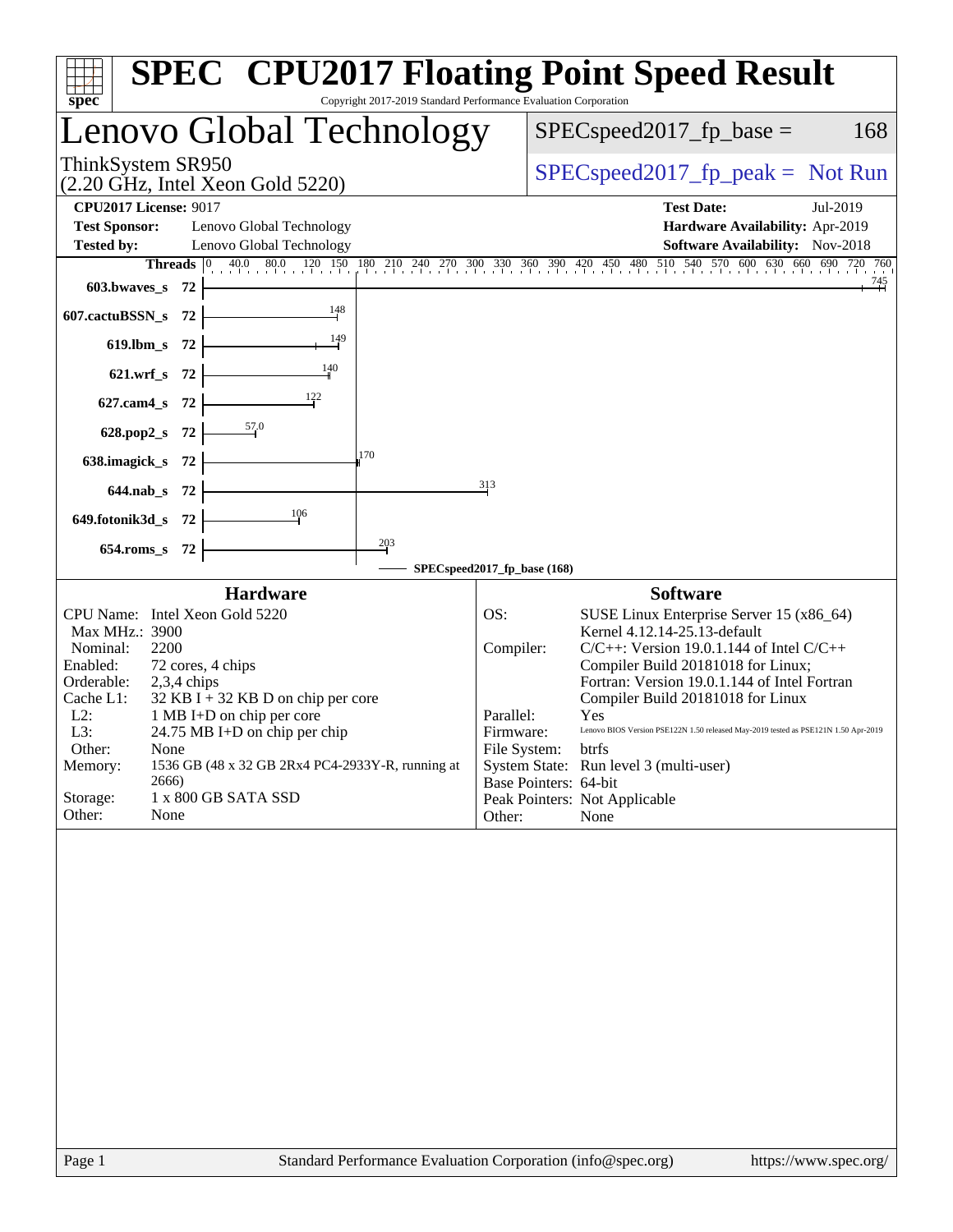| Copyright 2017-2019 Standard Performance Evaluation Corporation<br>$spec^*$                                                                                                                                                                                                                                                                                                                                                                | <b>SPEC<sup>®</sup> CPU2017 Floating Point Speed Result</b>                                                                                                                                                                                                                                                                                                                                                                                                                                                                                                    |
|--------------------------------------------------------------------------------------------------------------------------------------------------------------------------------------------------------------------------------------------------------------------------------------------------------------------------------------------------------------------------------------------------------------------------------------------|----------------------------------------------------------------------------------------------------------------------------------------------------------------------------------------------------------------------------------------------------------------------------------------------------------------------------------------------------------------------------------------------------------------------------------------------------------------------------------------------------------------------------------------------------------------|
| Lenovo Global Technology                                                                                                                                                                                                                                                                                                                                                                                                                   | $SPEC speed2017_fp\_base =$<br>168                                                                                                                                                                                                                                                                                                                                                                                                                                                                                                                             |
| ThinkSystem SR950<br>$(2.20 \text{ GHz}, \text{Intel Xeon Gold } 5220)$                                                                                                                                                                                                                                                                                                                                                                    | $SPEC speed2017fr peak = Not Run$                                                                                                                                                                                                                                                                                                                                                                                                                                                                                                                              |
| <b>CPU2017 License: 9017</b><br><b>Test Sponsor:</b><br>Lenovo Global Technology<br><b>Tested by:</b><br>Lenovo Global Technology<br>Threads<br>$ 0\rangle$<br>603.bwaves_s 72                                                                                                                                                                                                                                                             | <b>Test Date:</b><br>Jul-2019<br>Hardware Availability: Apr-2019<br>Software Availability: Nov-2018<br>$\frac{40.0}{1}$ $\frac{80.0}{120}$ $\frac{120}{150}$ $\frac{180}{180}$ $\frac{210}{240}$ $\frac{240}{270}$ $\frac{270}{300}$ $\frac{330}{360}$ $\frac{350}{390}$ $\frac{420}{450}$ $\frac{450}{480}$ $\frac{480}{510}$ $\frac{510}{540}$ $\frac{570}{570}$ $\frac{600}{600}$ $\frac{630}{600$<br><u>745</u><br>구부                                                                                                                                      |
| 148<br>607.cactuBSSN_s<br>- 72<br>149<br>$619$ .lbm_s<br>-72<br>140<br>$621.wrf$ <sub>S</sub><br>-72<br>122<br>627.cam4_s<br>-72                                                                                                                                                                                                                                                                                                           |                                                                                                                                                                                                                                                                                                                                                                                                                                                                                                                                                                |
| $\frac{57.0}{5}$<br>628.pop2_s<br>- 72<br>170<br>638.imagick_s<br>-72<br>$644$ .nab s<br>- 72                                                                                                                                                                                                                                                                                                                                              | 313                                                                                                                                                                                                                                                                                                                                                                                                                                                                                                                                                            |
| 106<br>649.fotonik3d_s<br>- 72<br>$\frac{203}{2}$<br>$654$ .roms_s<br>- 72                                                                                                                                                                                                                                                                                                                                                                 | SPECspeed2017_fp_base (168)                                                                                                                                                                                                                                                                                                                                                                                                                                                                                                                                    |
| <b>Hardware</b><br>CPU Name: Intel Xeon Gold 5220<br>Max MHz.: 3900<br>Nominal:<br>2200<br>Enabled:<br>72 cores, 4 chips<br>Orderable:<br>$2,3,4$ chips<br>Cache L1:<br>$32$ KB I + 32 KB D on chip per core<br>$L2$ :<br>1 MB I+D on chip per core<br>L3:<br>24.75 MB I+D on chip per chip<br>Other:<br>None<br>1536 GB (48 x 32 GB 2Rx4 PC4-2933Y-R, running at<br>Memory:<br>2666)<br>Storage:<br>1 x 800 GB SATA SSD<br>None<br>Other: | <b>Software</b><br>OS:<br>SUSE Linux Enterprise Server 15 (x86_64)<br>Kernel 4.12.14-25.13-default<br>Compiler:<br>$C/C++$ : Version 19.0.1.144 of Intel $C/C++$<br>Compiler Build 20181018 for Linux;<br>Fortran: Version 19.0.1.144 of Intel Fortran<br>Compiler Build 20181018 for Linux<br>Parallel:<br>Yes<br>Lenovo BIOS Version PSE122N 1.50 released May-2019 tested as PSE121N 1.50 Apr-2019<br>Firmware:<br>File System: btrfs<br>System State: Run level 3 (multi-user)<br>Base Pointers: 64-bit<br>Peak Pointers: Not Applicable<br>Other:<br>None |
| Standard Darformange Evaluation Comparation (info@an                                                                                                                                                                                                                                                                                                                                                                                       |                                                                                                                                                                                                                                                                                                                                                                                                                                                                                                                                                                |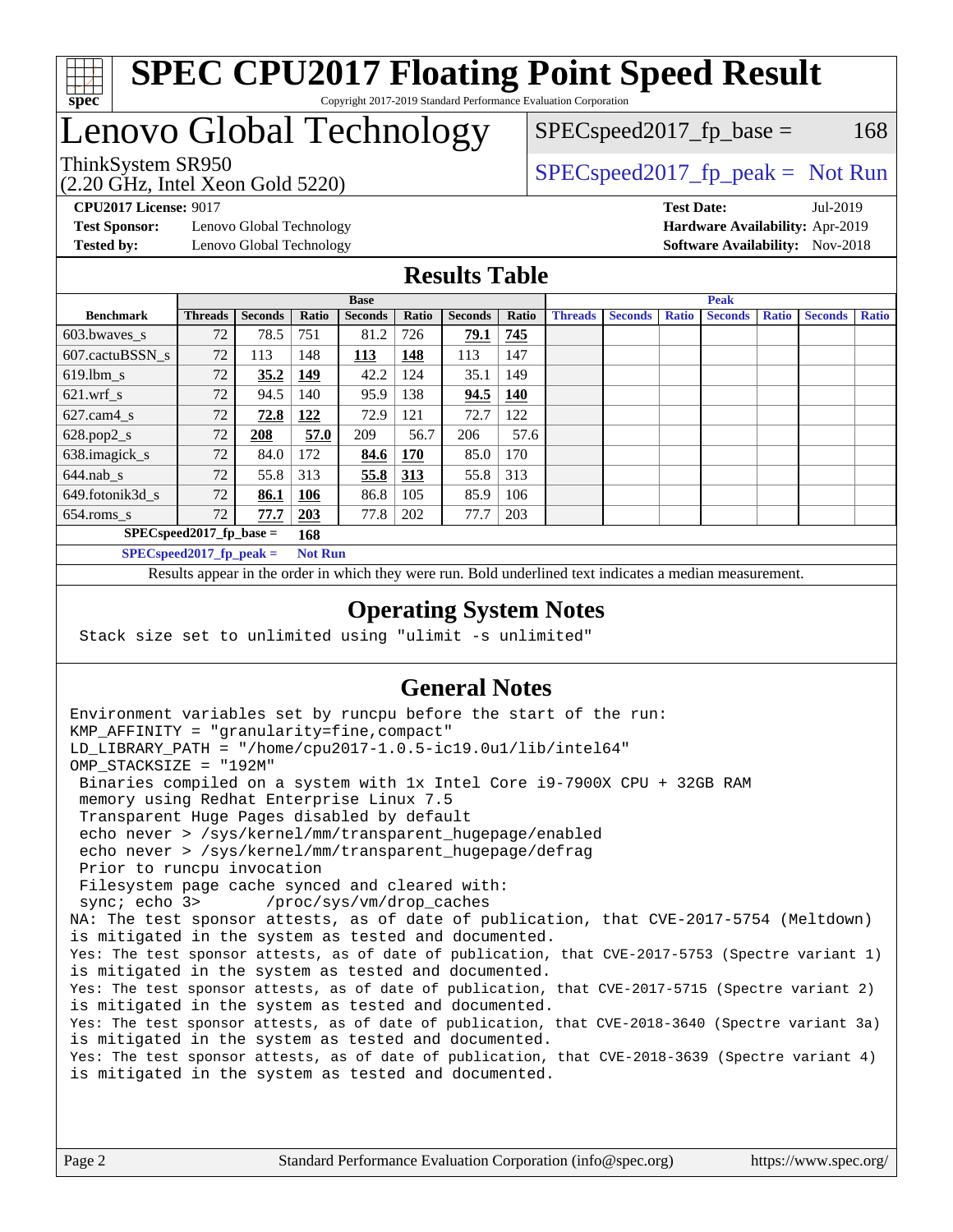

#### **[SPEC CPU2017 Floating Point Speed Result](http://www.spec.org/auto/cpu2017/Docs/result-fields.html#SPECCPU2017FloatingPointSpeedResult)** Copyright 2017-2019 Standard Performance Evaluation Corporation

## Lenovo Global Technology

(2.20 GHz, Intel Xeon Gold 5220)

ThinkSystem SR950<br>  $SPEC speed2017$  [p\_peak = Not Run

 $SPEC speed2017_fp\_base = 168$ 

**[Test Sponsor:](http://www.spec.org/auto/cpu2017/Docs/result-fields.html#TestSponsor)** Lenovo Global Technology **[Hardware Availability:](http://www.spec.org/auto/cpu2017/Docs/result-fields.html#HardwareAvailability)** Apr-2019 **[Tested by:](http://www.spec.org/auto/cpu2017/Docs/result-fields.html#Testedby)** Lenovo Global Technology **[Software Availability:](http://www.spec.org/auto/cpu2017/Docs/result-fields.html#SoftwareAvailability)** Nov-2018

**[CPU2017 License:](http://www.spec.org/auto/cpu2017/Docs/result-fields.html#CPU2017License)** 9017 **[Test Date:](http://www.spec.org/auto/cpu2017/Docs/result-fields.html#TestDate)** Jul-2019

### **[Results Table](http://www.spec.org/auto/cpu2017/Docs/result-fields.html#ResultsTable)**

|                  | <b>Base</b>                 |                |                |                |              | <b>Peak</b>    |            |                |                |              |                |              |                |              |
|------------------|-----------------------------|----------------|----------------|----------------|--------------|----------------|------------|----------------|----------------|--------------|----------------|--------------|----------------|--------------|
| <b>Benchmark</b> | <b>Threads</b>              | <b>Seconds</b> | Ratio          | <b>Seconds</b> | <b>Ratio</b> | <b>Seconds</b> | Ratio      | <b>Threads</b> | <b>Seconds</b> | <b>Ratio</b> | <b>Seconds</b> | <b>Ratio</b> | <b>Seconds</b> | <b>Ratio</b> |
| 603.bwayes s     | 72                          | 78.5           | 751            | 81.2           | 726          | 79.1           | 745        |                |                |              |                |              |                |              |
| 607.cactuBSSN s  | 72                          | 113            | 148            | 113            | 148          | 113            | 147        |                |                |              |                |              |                |              |
| $619.$ lbm_s     | 72                          | 35.2           | 149            | 42.2           | 124          | 35.1           | 149        |                |                |              |                |              |                |              |
| $621.wrf$ s      | 72                          | 94.5           | 140            | 95.9           | 138          | 94.5           | <b>140</b> |                |                |              |                |              |                |              |
| $627.cam4_s$     | 72                          | 72.8           | 122            | 72.9           | 121          | 72.7           | 122        |                |                |              |                |              |                |              |
| $628.pop2_s$     | 72                          | 208            | 57.0           | 209            | 56.7         | 206            | 57.6       |                |                |              |                |              |                |              |
| 638.imagick_s    | 72                          | 84.0           | 172            | 84.6           | 170          | 85.0           | 170        |                |                |              |                |              |                |              |
| $644$ .nab s     | 72                          | 55.8           | 313            | 55.8           | <u>313</u>   | 55.8           | 313        |                |                |              |                |              |                |              |
| 649.fotonik3d s  | 72                          | 86.1           | <u>106</u>     | 86.8           | 105          | 85.9           | 106        |                |                |              |                |              |                |              |
| $654$ .roms s    | 72                          | 77.7           | 203            | 77.8           | 202          | 77.7           | 203        |                |                |              |                |              |                |              |
|                  | $SPEC speed2017_fp\_base =$ |                | 168            |                |              |                |            |                |                |              |                |              |                |              |
|                  | SPECspeed 2017 fp peak $=$  |                | <b>Not Run</b> |                |              |                |            |                |                |              |                |              |                |              |

Results appear in the [order in which they were run.](http://www.spec.org/auto/cpu2017/Docs/result-fields.html#RunOrder) Bold underlined text [indicates a median measurement](http://www.spec.org/auto/cpu2017/Docs/result-fields.html#Median).

#### **[Operating System Notes](http://www.spec.org/auto/cpu2017/Docs/result-fields.html#OperatingSystemNotes)**

Stack size set to unlimited using "ulimit -s unlimited"

### **[General Notes](http://www.spec.org/auto/cpu2017/Docs/result-fields.html#GeneralNotes)**

Environment variables set by runcpu before the start of the run: KMP\_AFFINITY = "granularity=fine,compact" LD\_LIBRARY\_PATH = "/home/cpu2017-1.0.5-ic19.0u1/lib/intel64" OMP\_STACKSIZE = "192M" Binaries compiled on a system with 1x Intel Core i9-7900X CPU + 32GB RAM memory using Redhat Enterprise Linux 7.5 Transparent Huge Pages disabled by default echo never > /sys/kernel/mm/transparent\_hugepage/enabled echo never > /sys/kernel/mm/transparent\_hugepage/defrag Prior to runcpu invocation Filesystem page cache synced and cleared with: sync; echo 3> /proc/sys/vm/drop\_caches NA: The test sponsor attests, as of date of publication, that CVE-2017-5754 (Meltdown) is mitigated in the system as tested and documented. Yes: The test sponsor attests, as of date of publication, that CVE-2017-5753 (Spectre variant 1) is mitigated in the system as tested and documented. Yes: The test sponsor attests, as of date of publication, that CVE-2017-5715 (Spectre variant 2) is mitigated in the system as tested and documented. Yes: The test sponsor attests, as of date of publication, that CVE-2018-3640 (Spectre variant 3a) is mitigated in the system as tested and documented. Yes: The test sponsor attests, as of date of publication, that CVE-2018-3639 (Spectre variant 4) is mitigated in the system as tested and documented.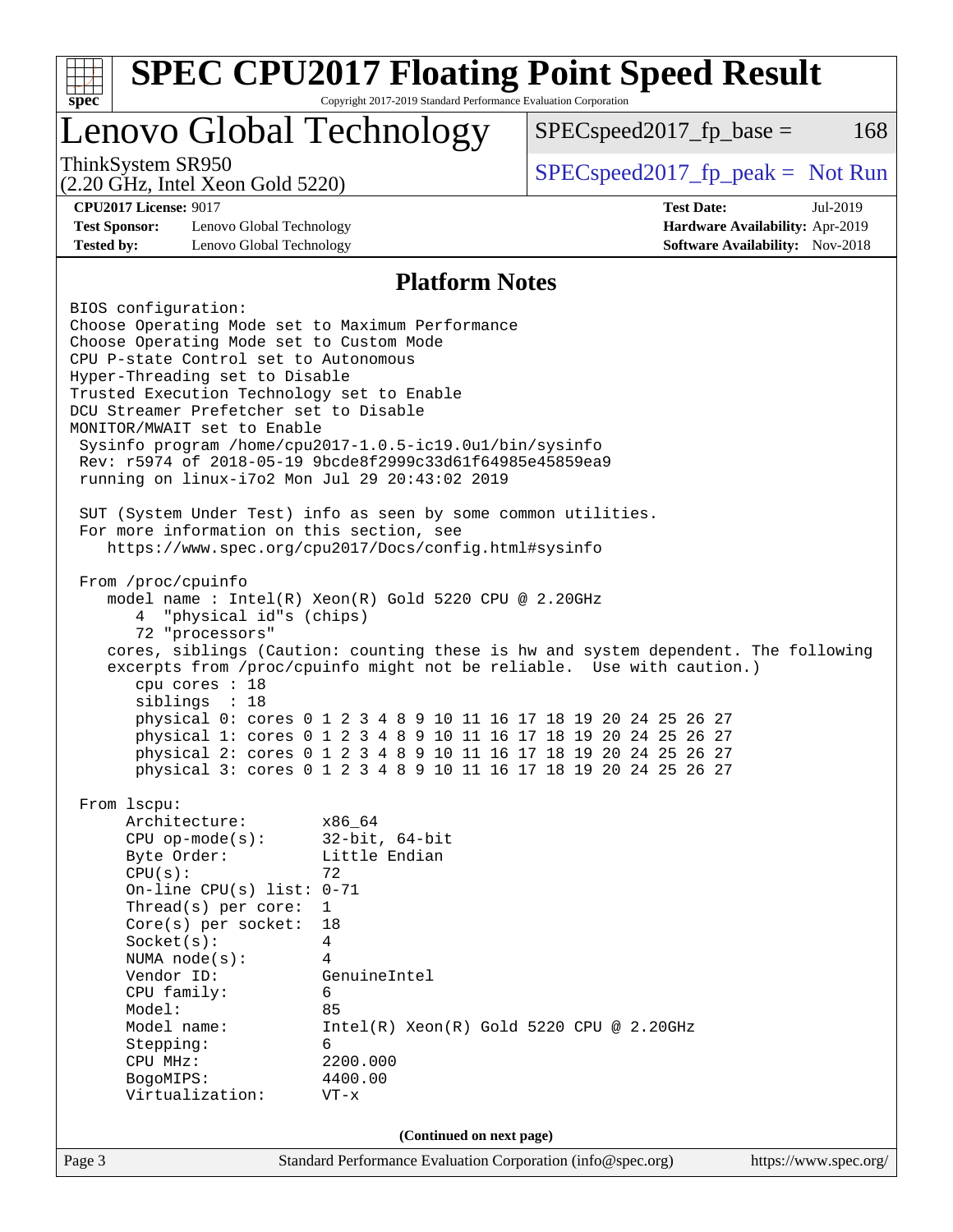| <b>SPEC CPU2017 Floating Point Speed Result</b><br>Copyright 2017-2019 Standard Performance Evaluation Corporation<br>spec <sup>®</sup>                                                                                                                                                                                                                                                                                                                                                                                                                                                                                                                                                                                                                                                                                                                                      |                                                                                                                             |                                                                                                                                                                                                                                                                                                                                                                                                                                             |                                                                                       |     |  |  |
|------------------------------------------------------------------------------------------------------------------------------------------------------------------------------------------------------------------------------------------------------------------------------------------------------------------------------------------------------------------------------------------------------------------------------------------------------------------------------------------------------------------------------------------------------------------------------------------------------------------------------------------------------------------------------------------------------------------------------------------------------------------------------------------------------------------------------------------------------------------------------|-----------------------------------------------------------------------------------------------------------------------------|---------------------------------------------------------------------------------------------------------------------------------------------------------------------------------------------------------------------------------------------------------------------------------------------------------------------------------------------------------------------------------------------------------------------------------------------|---------------------------------------------------------------------------------------|-----|--|--|
| Lenovo Global Technology                                                                                                                                                                                                                                                                                                                                                                                                                                                                                                                                                                                                                                                                                                                                                                                                                                                     |                                                                                                                             | $SPEC speed2017fr base =$                                                                                                                                                                                                                                                                                                                                                                                                                   |                                                                                       | 168 |  |  |
| ThinkSystem SR950<br>(2.20 GHz, Intel Xeon Gold 5220)                                                                                                                                                                                                                                                                                                                                                                                                                                                                                                                                                                                                                                                                                                                                                                                                                        |                                                                                                                             | $SPEC speed2017rfp peak = Not Run$                                                                                                                                                                                                                                                                                                                                                                                                          |                                                                                       |     |  |  |
| <b>CPU2017 License: 9017</b><br><b>Test Sponsor:</b><br>Lenovo Global Technology<br><b>Tested by:</b><br>Lenovo Global Technology                                                                                                                                                                                                                                                                                                                                                                                                                                                                                                                                                                                                                                                                                                                                            |                                                                                                                             | <b>Test Date:</b>                                                                                                                                                                                                                                                                                                                                                                                                                           | Jul-2019<br>Hardware Availability: Apr-2019<br><b>Software Availability:</b> Nov-2018 |     |  |  |
|                                                                                                                                                                                                                                                                                                                                                                                                                                                                                                                                                                                                                                                                                                                                                                                                                                                                              | <b>Platform Notes</b>                                                                                                       |                                                                                                                                                                                                                                                                                                                                                                                                                                             |                                                                                       |     |  |  |
| BIOS configuration:<br>Choose Operating Mode set to Maximum Performance<br>Choose Operating Mode set to Custom Mode<br>CPU P-state Control set to Autonomous<br>Hyper-Threading set to Disable<br>Trusted Execution Technology set to Enable<br>DCU Streamer Prefetcher set to Disable<br>MONITOR/MWAIT set to Enable<br>Sysinfo program /home/cpu2017-1.0.5-ic19.0ul/bin/sysinfo<br>Rev: r5974 of 2018-05-19 9bcde8f2999c33d61f64985e45859ea9<br>running on linux-i7o2 Mon Jul 29 20:43:02 2019<br>SUT (System Under Test) info as seen by some common utilities.<br>For more information on this section, see<br>https://www.spec.org/cpu2017/Docs/config.html#sysinfo<br>From /proc/cpuinfo<br>model name : Intel(R) Xeon(R) Gold 5220 CPU @ 2.20GHz<br>"physical id"s (chips)<br>4<br>72 "processors"<br>cpu cores : 18<br>siblings : 18<br>From lscpu:<br>Architecture: | x86_64                                                                                                                      | cores, siblings (Caution: counting these is hw and system dependent. The following<br>excerpts from /proc/cpuinfo might not be reliable. Use with caution.)<br>physical 0: cores 0 1 2 3 4 8 9 10 11 16 17 18 19 20 24 25 26 27<br>physical 1: cores 0 1 2 3 4 8 9 10 11 16 17 18 19 20 24 25 26 27<br>physical 2: cores 0 1 2 3 4 8 9 10 11 16 17 18 19 20 24 25 26 27<br>physical 3: cores 0 1 2 3 4 8 9 10 11 16 17 18 19 20 24 25 26 27 |                                                                                       |     |  |  |
| $CPU$ op-mode( $s$ ):<br>Byte Order:<br>CPU(s):<br>On-line CPU(s) list: $0-71$<br>Thread( $s$ ) per core:                                                                                                                                                                                                                                                                                                                                                                                                                                                                                                                                                                                                                                                                                                                                                                    | $32$ -bit, $64$ -bit<br>Little Endian<br>72<br>$\mathbf 1$                                                                  |                                                                                                                                                                                                                                                                                                                                                                                                                                             |                                                                                       |     |  |  |
| $Core(s)$ per socket:<br>Socket(s):<br>NUMA node(s):<br>Vendor ID:<br>CPU family:<br>Model:<br>Model name:<br>Stepping:<br>CPU MHz:<br>BogoMIPS:<br>Virtualization:                                                                                                                                                                                                                                                                                                                                                                                                                                                                                                                                                                                                                                                                                                          | 18<br>4<br>4<br>GenuineIntel<br>6<br>85<br>Intel(R) Xeon(R) Gold 5220 CPU @ 2.20GHz<br>6<br>2200.000<br>4400.00<br>$VT - x$ |                                                                                                                                                                                                                                                                                                                                                                                                                                             |                                                                                       |     |  |  |
|                                                                                                                                                                                                                                                                                                                                                                                                                                                                                                                                                                                                                                                                                                                                                                                                                                                                              | (Continued on next page)                                                                                                    |                                                                                                                                                                                                                                                                                                                                                                                                                                             |                                                                                       |     |  |  |
| Page 3                                                                                                                                                                                                                                                                                                                                                                                                                                                                                                                                                                                                                                                                                                                                                                                                                                                                       | Standard Performance Evaluation Corporation (info@spec.org)                                                                 |                                                                                                                                                                                                                                                                                                                                                                                                                                             | https://www.spec.org/                                                                 |     |  |  |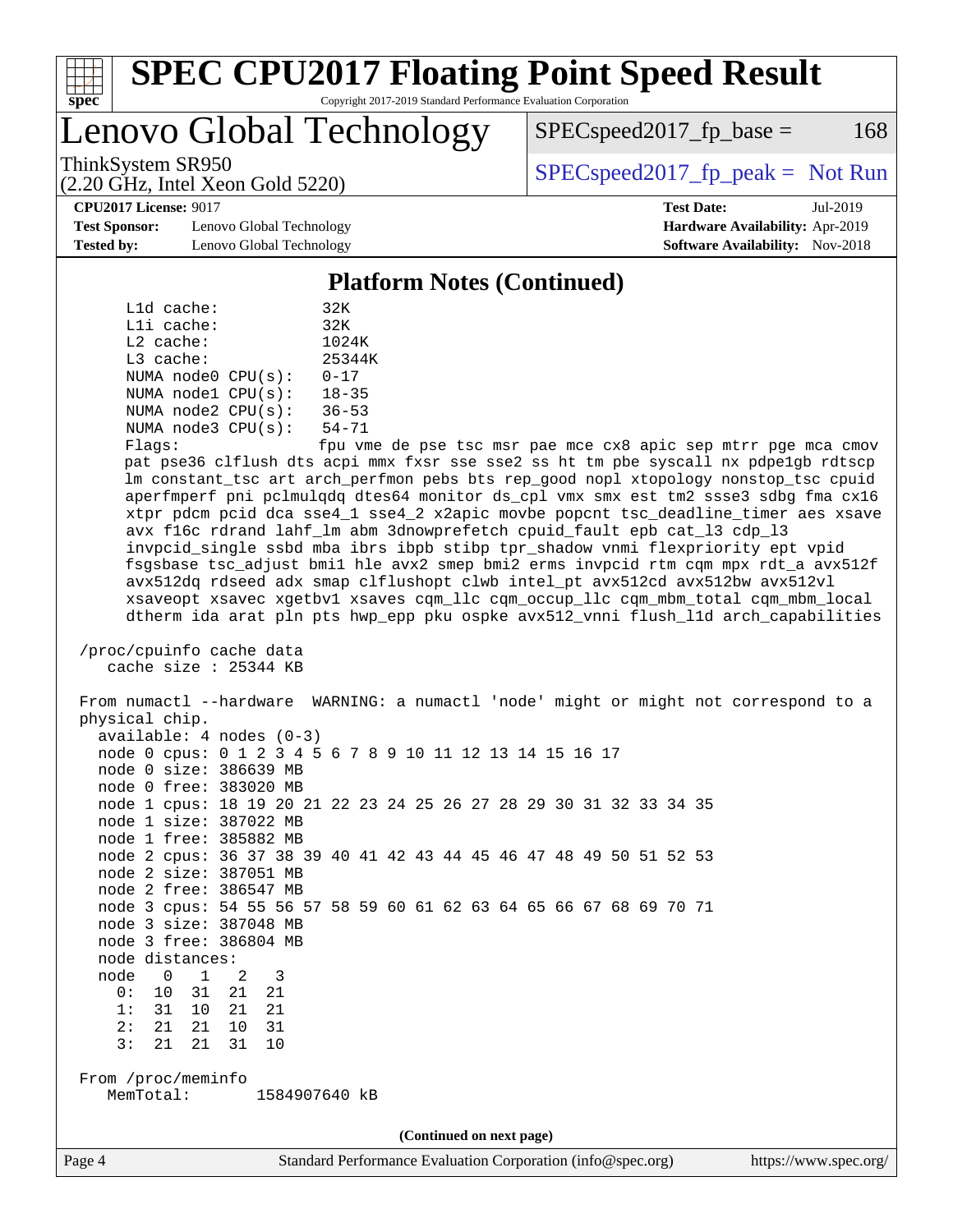

#### **[SPEC CPU2017 Floating Point Speed Result](http://www.spec.org/auto/cpu2017/Docs/result-fields.html#SPECCPU2017FloatingPointSpeedResult)** Copyright 2017-2019 Standard Performance Evaluation Corporation

Lenovo Global Technology

 $SPEC speed2017<sub>fp</sub> base =  $168$$ 

(2.20 GHz, Intel Xeon Gold 5220)

ThinkSystem SR950<br>  $SPEC speed2017$  [p\_peak = Not Run

**[CPU2017 License:](http://www.spec.org/auto/cpu2017/Docs/result-fields.html#CPU2017License)** 9017 **[Test Date:](http://www.spec.org/auto/cpu2017/Docs/result-fields.html#TestDate)** Jul-2019

**[Test Sponsor:](http://www.spec.org/auto/cpu2017/Docs/result-fields.html#TestSponsor)** Lenovo Global Technology **[Hardware Availability:](http://www.spec.org/auto/cpu2017/Docs/result-fields.html#HardwareAvailability)** Apr-2019 **[Tested by:](http://www.spec.org/auto/cpu2017/Docs/result-fields.html#Testedby)** Lenovo Global Technology **[Software Availability:](http://www.spec.org/auto/cpu2017/Docs/result-fields.html#SoftwareAvailability)** Nov-2018

**[Platform Notes \(Continued\)](http://www.spec.org/auto/cpu2017/Docs/result-fields.html#PlatformNotes)**

|             | L1d cache: |                         | 32K       |
|-------------|------------|-------------------------|-----------|
|             | Lli cache: |                         | 32K       |
| $L2$ cache: |            |                         | 1024K     |
| L3 cache:   |            |                         | 25344K    |
|             |            | NUMA $node0$ $CPU(s)$ : | $0 - 17$  |
|             |            | NUMA nodel CPU(s):      | $18 - 35$ |
|             |            | NUMA $node2$ $CPU(s)$ : | $36 - 53$ |
|             |            | NUMA $node3$ $CPU(s)$ : | $54 - 71$ |
| --          |            |                         | $\sim$    |

 Flags: fpu vme de pse tsc msr pae mce cx8 apic sep mtrr pge mca cmov pat pse36 clflush dts acpi mmx fxsr sse sse2 ss ht tm pbe syscall nx pdpe1gb rdtscp lm constant\_tsc art arch\_perfmon pebs bts rep\_good nopl xtopology nonstop\_tsc cpuid aperfmperf pni pclmulqdq dtes64 monitor ds\_cpl vmx smx est tm2 ssse3 sdbg fma cx16 xtpr pdcm pcid dca sse4\_1 sse4\_2 x2apic movbe popcnt tsc\_deadline\_timer aes xsave avx f16c rdrand lahf\_lm abm 3dnowprefetch cpuid\_fault epb cat\_l3 cdp\_l3 invpcid\_single ssbd mba ibrs ibpb stibp tpr\_shadow vnmi flexpriority ept vpid fsgsbase tsc\_adjust bmi1 hle avx2 smep bmi2 erms invpcid rtm cqm mpx rdt\_a avx512f avx512dq rdseed adx smap clflushopt clwb intel\_pt avx512cd avx512bw avx512vl xsaveopt xsavec xgetbv1 xsaves cqm\_llc cqm\_occup\_llc cqm\_mbm\_total cqm\_mbm\_local dtherm ida arat pln pts hwp\_epp pku ospke avx512\_vnni flush\_l1d arch\_capabilities

```
 /proc/cpuinfo cache data
cache size : 25344 KB
```
 From numactl --hardware WARNING: a numactl 'node' might or might not correspond to a physical chip. available: 4 nodes (0-3) node 0 cpus: 0 1 2 3 4 5 6 7 8 9 10 11 12 13 14 15 16 17 node 0 size: 386639 MB node 0 free: 383020 MB node 1 cpus: 18 19 20 21 22 23 24 25 26 27 28 29 30 31 32 33 34 35 node 1 size: 387022 MB node 1 free: 385882 MB node 2 cpus: 36 37 38 39 40 41 42 43 44 45 46 47 48 49 50 51 52 53 node 2 size: 387051 MB node 2 free: 386547 MB node 3 cpus: 54 55 56 57 58 59 60 61 62 63 64 65 66 67 68 69 70 71 node 3 size: 387048 MB node 3 free: 386804 MB node distances: node 0 1 2 3 0: 10 31 21 21 1: 31 10 21 21 2: 21 21 10 31 3: 21 21 31 10 From /proc/meminfo MemTotal: 1584907640 kB **(Continued on next page)**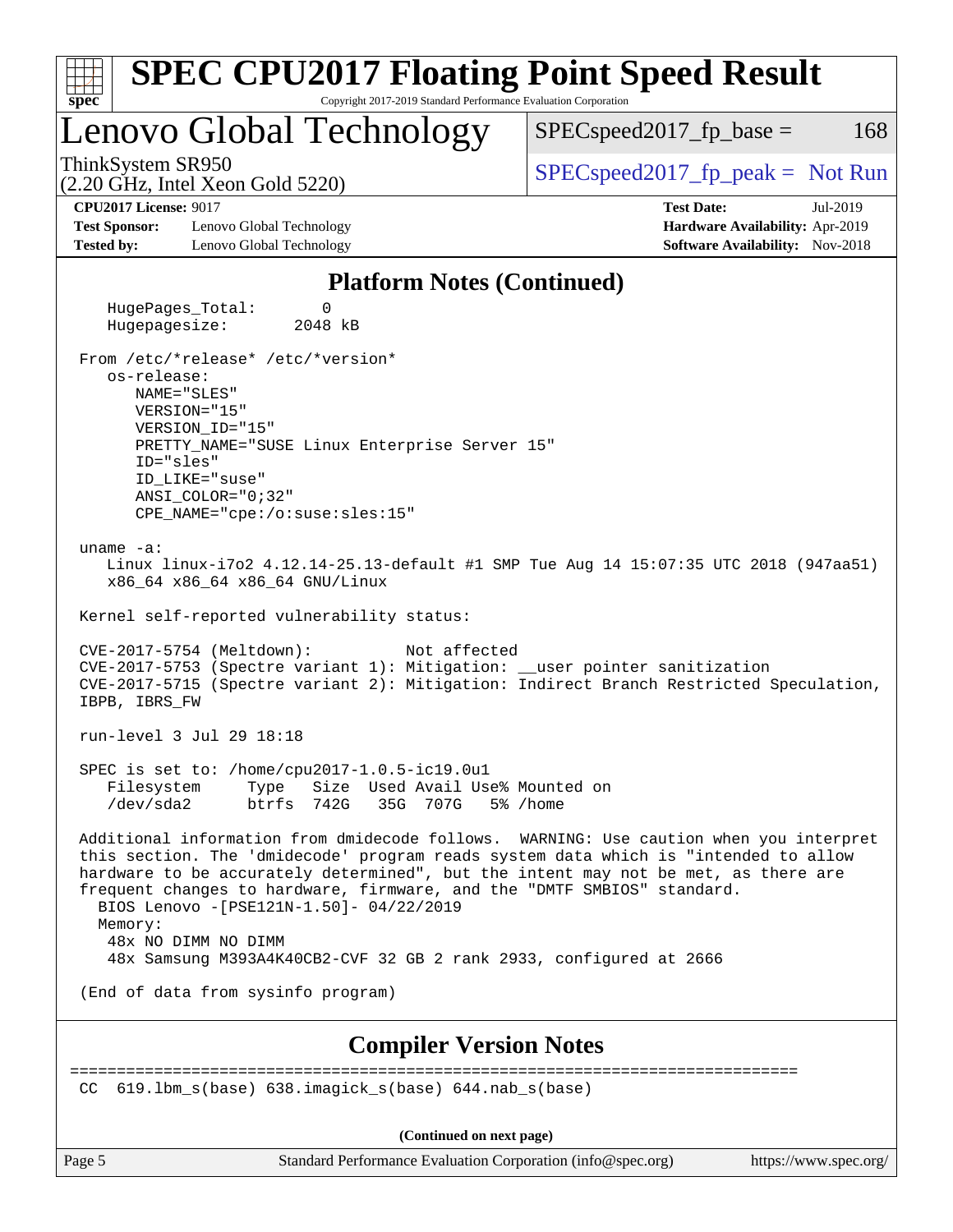| <b>SPEC CPU2017 Floating Point Speed Result</b><br>Copyright 2017-2019 Standard Performance Evaluation Corporation<br>$spec^*$                                                                                                                                                                                                                                                                                                                                                                    |                                                                                                            |
|---------------------------------------------------------------------------------------------------------------------------------------------------------------------------------------------------------------------------------------------------------------------------------------------------------------------------------------------------------------------------------------------------------------------------------------------------------------------------------------------------|------------------------------------------------------------------------------------------------------------|
| Lenovo Global Technology                                                                                                                                                                                                                                                                                                                                                                                                                                                                          | $SPEC speed2017fp base =$<br>168                                                                           |
| ThinkSystem SR950<br>$(2.20 \text{ GHz}, \text{Intel Xeon Gold } 5220)$                                                                                                                                                                                                                                                                                                                                                                                                                           | $SPEC speed2017_fp\_peak = Not Run$                                                                        |
| <b>CPU2017 License: 9017</b><br><b>Test Sponsor:</b><br>Lenovo Global Technology<br><b>Tested by:</b><br>Lenovo Global Technology                                                                                                                                                                                                                                                                                                                                                                 | <b>Test Date:</b><br>Jul-2019<br>Hardware Availability: Apr-2019<br><b>Software Availability:</b> Nov-2018 |
| <b>Platform Notes (Continued)</b>                                                                                                                                                                                                                                                                                                                                                                                                                                                                 |                                                                                                            |
| HugePages_Total:<br>0<br>2048 kB<br>Hugepagesize:                                                                                                                                                                                                                                                                                                                                                                                                                                                 |                                                                                                            |
| From /etc/*release* /etc/*version*<br>os-release:<br>NAME="SLES"<br>VERSION="15"<br>VERSION_ID="15"<br>PRETTY_NAME="SUSE Linux Enterprise Server 15"<br>ID="sles"<br>ID LIKE="suse"<br>$ANSI$ _COLOR="0;32"<br>CPE_NAME="cpe:/o:suse:sles:15"                                                                                                                                                                                                                                                     |                                                                                                            |
| uname $-a$ :<br>Linux linux-i7o2 4.12.14-25.13-default #1 SMP Tue Aug 14 15:07:35 UTC 2018 (947aa51)<br>x86_64 x86_64 x86_64 GNU/Linux<br>Kernel self-reported vulnerability status:                                                                                                                                                                                                                                                                                                              |                                                                                                            |
| CVE-2017-5754 (Meltdown):<br>Not affected<br>CVE-2017-5753 (Spectre variant 1): Mitigation: __user pointer sanitization<br>CVE-2017-5715 (Spectre variant 2): Mitigation: Indirect Branch Restricted Speculation,<br>IBPB, IBRS_FW                                                                                                                                                                                                                                                                |                                                                                                            |
| run-level 3 Jul 29 18:18                                                                                                                                                                                                                                                                                                                                                                                                                                                                          |                                                                                                            |
| SPEC is set to: /home/cpu2017-1.0.5-ic19.0u1<br>Filesystem<br>Type<br>Size Used Avail Use% Mounted on<br>/dev/sda2<br>btrfs 742G<br>35G 707G                                                                                                                                                                                                                                                                                                                                                      | 5% /home                                                                                                   |
| Additional information from dmidecode follows. WARNING: Use caution when you interpret<br>this section. The 'dmidecode' program reads system data which is "intended to allow<br>hardware to be accurately determined", but the intent may not be met, as there are<br>frequent changes to hardware, firmware, and the "DMTF SMBIOS" standard.<br>BIOS Lenovo -[PSE121N-1.50]- 04/22/2019<br>Memory:<br>48x NO DIMM NO DIMM<br>48x Samsung M393A4K40CB2-CVF 32 GB 2 rank 2933, configured at 2666 |                                                                                                            |
| (End of data from sysinfo program)                                                                                                                                                                                                                                                                                                                                                                                                                                                                |                                                                                                            |
| <b>Compiler Version Notes</b>                                                                                                                                                                                                                                                                                                                                                                                                                                                                     |                                                                                                            |
| $619.1$ bm_s(base) $638.imagick_s(base)$ $644.nab_s(base)$<br>CC.                                                                                                                                                                                                                                                                                                                                                                                                                                 | =====================                                                                                      |
| (Continued on next page)                                                                                                                                                                                                                                                                                                                                                                                                                                                                          |                                                                                                            |
| Page 5<br>Standard Performance Evaluation Corporation (info@spec.org)                                                                                                                                                                                                                                                                                                                                                                                                                             | https://www.spec.org/                                                                                      |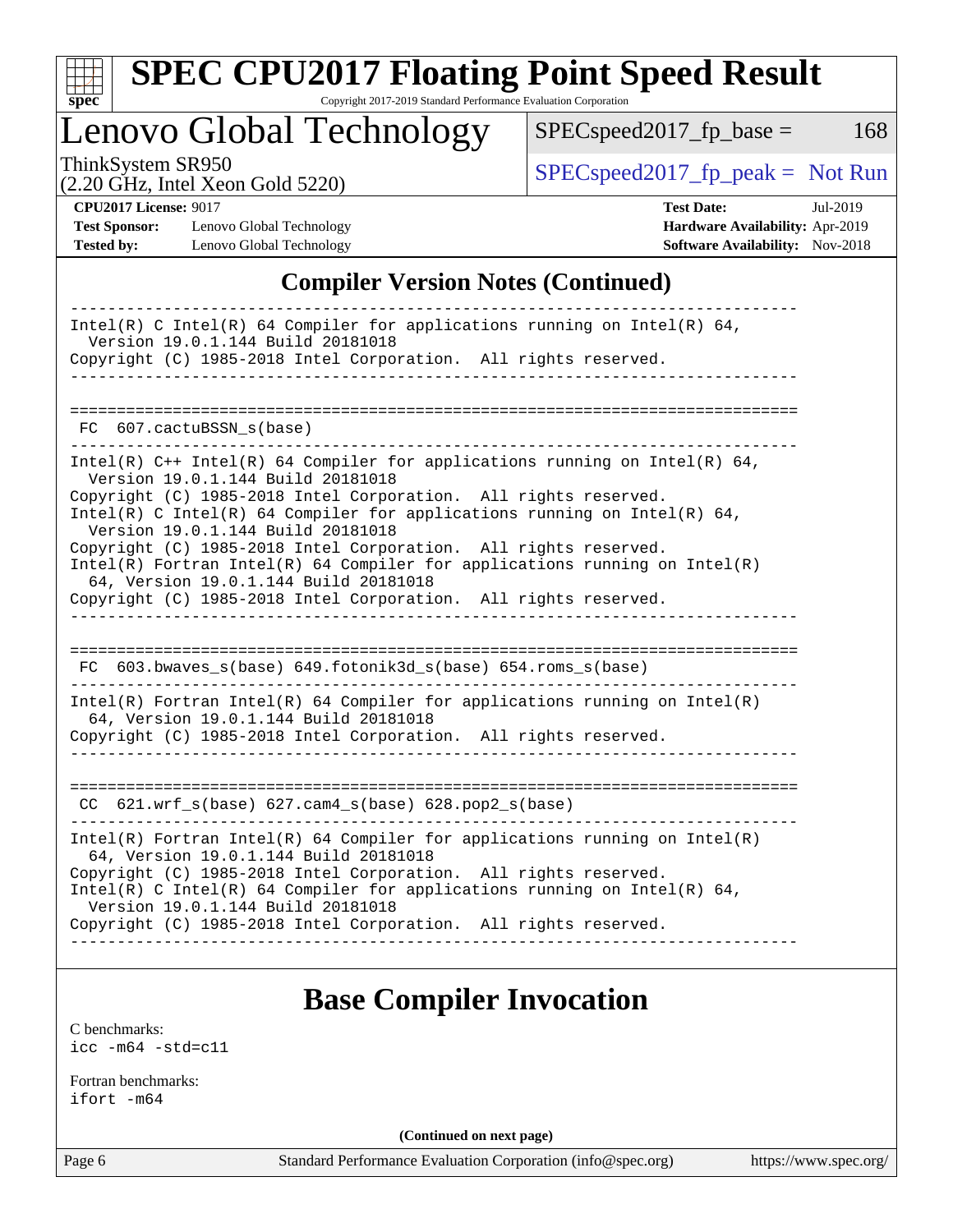

# **[SPEC CPU2017 Floating Point Speed Result](http://www.spec.org/auto/cpu2017/Docs/result-fields.html#SPECCPU2017FloatingPointSpeedResult)**

Copyright 2017-2019 Standard Performance Evaluation Corporation

Lenovo Global Technology

 $SPEC speed2017_fp\_peak = Not Run$ 

 $SPEC speed2017_fp\_base = 168$ 

(2.20 GHz, Intel Xeon Gold 5220)

**[CPU2017 License:](http://www.spec.org/auto/cpu2017/Docs/result-fields.html#CPU2017License)** 9017 **[Test Date:](http://www.spec.org/auto/cpu2017/Docs/result-fields.html#TestDate)** Jul-2019

**[Test Sponsor:](http://www.spec.org/auto/cpu2017/Docs/result-fields.html#TestSponsor)** Lenovo Global Technology **[Hardware Availability:](http://www.spec.org/auto/cpu2017/Docs/result-fields.html#HardwareAvailability)** Apr-2019 **[Tested by:](http://www.spec.org/auto/cpu2017/Docs/result-fields.html#Testedby)** Lenovo Global Technology **[Software Availability:](http://www.spec.org/auto/cpu2017/Docs/result-fields.html#SoftwareAvailability)** Nov-2018

## **[Compiler Version Notes \(Continued\)](http://www.spec.org/auto/cpu2017/Docs/result-fields.html#CompilerVersionNotes)**

| Intel(R) C Intel(R) 64 Compiler for applications running on Intel(R) 64,<br>Version 19.0.1.144 Build 20181018<br>Copyright (C) 1985-2018 Intel Corporation. All rights reserved.                                                                                                                                                                                                                                                                                                                                                                                   |
|--------------------------------------------------------------------------------------------------------------------------------------------------------------------------------------------------------------------------------------------------------------------------------------------------------------------------------------------------------------------------------------------------------------------------------------------------------------------------------------------------------------------------------------------------------------------|
|                                                                                                                                                                                                                                                                                                                                                                                                                                                                                                                                                                    |
| FC 607.cactuBSSN_s(base)                                                                                                                                                                                                                                                                                                                                                                                                                                                                                                                                           |
| Intel(R) C++ Intel(R) 64 Compiler for applications running on Intel(R) 64,<br>Version 19.0.1.144 Build 20181018<br>Copyright (C) 1985-2018 Intel Corporation. All rights reserved.<br>Intel(R) C Intel(R) 64 Compiler for applications running on Intel(R) 64,<br>Version 19.0.1.144 Build 20181018<br>Copyright (C) 1985-2018 Intel Corporation. All rights reserved.<br>$Intel(R)$ Fortran Intel(R) 64 Compiler for applications running on Intel(R)<br>64, Version 19.0.1.144 Build 20181018<br>Copyright (C) 1985-2018 Intel Corporation. All rights reserved. |
| FC 603.bwaves_s(base) 649.fotonik3d_s(base) 654.roms_s(base)                                                                                                                                                                                                                                                                                                                                                                                                                                                                                                       |
| Intel(R) Fortran Intel(R) 64 Compiler for applications running on Intel(R)<br>64, Version 19.0.1.144 Build 20181018<br>Copyright (C) 1985-2018 Intel Corporation. All rights reserved.                                                                                                                                                                                                                                                                                                                                                                             |
| $CC$ 621.wrf_s(base) 627.cam4_s(base) 628.pop2_s(base)                                                                                                                                                                                                                                                                                                                                                                                                                                                                                                             |
| $Intel(R)$ Fortran Intel(R) 64 Compiler for applications running on Intel(R)<br>64, Version 19.0.1.144 Build 20181018<br>Copyright (C) 1985-2018 Intel Corporation. All rights reserved.<br>Intel(R) C Intel(R) 64 Compiler for applications running on Intel(R) 64,<br>Version 19.0.1.144 Build 20181018<br>Copyright (C) 1985-2018 Intel Corporation. All rights reserved.                                                                                                                                                                                       |
|                                                                                                                                                                                                                                                                                                                                                                                                                                                                                                                                                                    |

## **[Base Compiler Invocation](http://www.spec.org/auto/cpu2017/Docs/result-fields.html#BaseCompilerInvocation)**

[C benchmarks](http://www.spec.org/auto/cpu2017/Docs/result-fields.html#Cbenchmarks): [icc -m64 -std=c11](http://www.spec.org/cpu2017/results/res2019q3/cpu2017-20190805-16674.flags.html#user_CCbase_intel_icc_64bit_c11_33ee0cdaae7deeeab2a9725423ba97205ce30f63b9926c2519791662299b76a0318f32ddfffdc46587804de3178b4f9328c46fa7c2b0cd779d7a61945c91cd35)

[Fortran benchmarks](http://www.spec.org/auto/cpu2017/Docs/result-fields.html#Fortranbenchmarks): [ifort -m64](http://www.spec.org/cpu2017/results/res2019q3/cpu2017-20190805-16674.flags.html#user_FCbase_intel_ifort_64bit_24f2bb282fbaeffd6157abe4f878425411749daecae9a33200eee2bee2fe76f3b89351d69a8130dd5949958ce389cf37ff59a95e7a40d588e8d3a57e0c3fd751)

**(Continued on next page)**

Page 6 Standard Performance Evaluation Corporation [\(info@spec.org\)](mailto:info@spec.org) <https://www.spec.org/>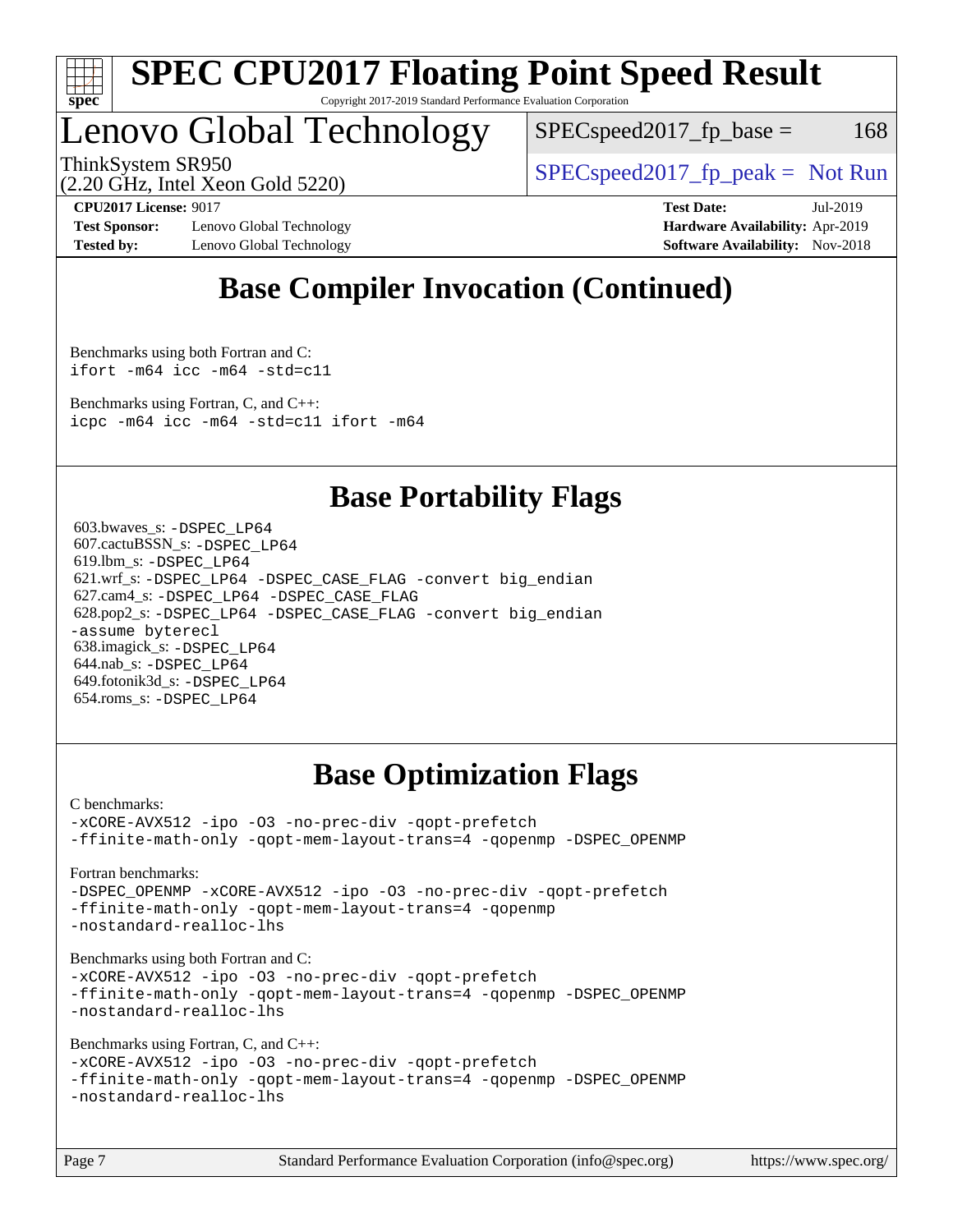

#### **[SPEC CPU2017 Floating Point Speed Result](http://www.spec.org/auto/cpu2017/Docs/result-fields.html#SPECCPU2017FloatingPointSpeedResult)** Copyright 2017-2019 Standard Performance Evaluation Corporation

## Lenovo Global Technology

 $SPEC speed2017<sub>fp</sub> base =  $168$$ 

(2.20 GHz, Intel Xeon Gold 5220)

ThinkSystem SR950<br>  $SPEC speed2017<sub>rfp</sub> peak = Not Run$ 

**[Test Sponsor:](http://www.spec.org/auto/cpu2017/Docs/result-fields.html#TestSponsor)** Lenovo Global Technology **[Hardware Availability:](http://www.spec.org/auto/cpu2017/Docs/result-fields.html#HardwareAvailability)** Apr-2019 **[Tested by:](http://www.spec.org/auto/cpu2017/Docs/result-fields.html#Testedby)** Lenovo Global Technology **[Software Availability:](http://www.spec.org/auto/cpu2017/Docs/result-fields.html#SoftwareAvailability)** Nov-2018

**[CPU2017 License:](http://www.spec.org/auto/cpu2017/Docs/result-fields.html#CPU2017License)** 9017 **[Test Date:](http://www.spec.org/auto/cpu2017/Docs/result-fields.html#TestDate)** Jul-2019

## **[Base Compiler Invocation \(Continued\)](http://www.spec.org/auto/cpu2017/Docs/result-fields.html#BaseCompilerInvocation)**

[Benchmarks using both Fortran and C](http://www.spec.org/auto/cpu2017/Docs/result-fields.html#BenchmarksusingbothFortranandC): [ifort -m64](http://www.spec.org/cpu2017/results/res2019q3/cpu2017-20190805-16674.flags.html#user_CC_FCbase_intel_ifort_64bit_24f2bb282fbaeffd6157abe4f878425411749daecae9a33200eee2bee2fe76f3b89351d69a8130dd5949958ce389cf37ff59a95e7a40d588e8d3a57e0c3fd751) [icc -m64 -std=c11](http://www.spec.org/cpu2017/results/res2019q3/cpu2017-20190805-16674.flags.html#user_CC_FCbase_intel_icc_64bit_c11_33ee0cdaae7deeeab2a9725423ba97205ce30f63b9926c2519791662299b76a0318f32ddfffdc46587804de3178b4f9328c46fa7c2b0cd779d7a61945c91cd35)

[Benchmarks using Fortran, C, and C++:](http://www.spec.org/auto/cpu2017/Docs/result-fields.html#BenchmarksusingFortranCandCXX) [icpc -m64](http://www.spec.org/cpu2017/results/res2019q3/cpu2017-20190805-16674.flags.html#user_CC_CXX_FCbase_intel_icpc_64bit_4ecb2543ae3f1412ef961e0650ca070fec7b7afdcd6ed48761b84423119d1bf6bdf5cad15b44d48e7256388bc77273b966e5eb805aefd121eb22e9299b2ec9d9) [icc -m64 -std=c11](http://www.spec.org/cpu2017/results/res2019q3/cpu2017-20190805-16674.flags.html#user_CC_CXX_FCbase_intel_icc_64bit_c11_33ee0cdaae7deeeab2a9725423ba97205ce30f63b9926c2519791662299b76a0318f32ddfffdc46587804de3178b4f9328c46fa7c2b0cd779d7a61945c91cd35) [ifort -m64](http://www.spec.org/cpu2017/results/res2019q3/cpu2017-20190805-16674.flags.html#user_CC_CXX_FCbase_intel_ifort_64bit_24f2bb282fbaeffd6157abe4f878425411749daecae9a33200eee2bee2fe76f3b89351d69a8130dd5949958ce389cf37ff59a95e7a40d588e8d3a57e0c3fd751)

## **[Base Portability Flags](http://www.spec.org/auto/cpu2017/Docs/result-fields.html#BasePortabilityFlags)**

 603.bwaves\_s: [-DSPEC\\_LP64](http://www.spec.org/cpu2017/results/res2019q3/cpu2017-20190805-16674.flags.html#suite_basePORTABILITY603_bwaves_s_DSPEC_LP64) 607.cactuBSSN\_s: [-DSPEC\\_LP64](http://www.spec.org/cpu2017/results/res2019q3/cpu2017-20190805-16674.flags.html#suite_basePORTABILITY607_cactuBSSN_s_DSPEC_LP64) 619.lbm\_s: [-DSPEC\\_LP64](http://www.spec.org/cpu2017/results/res2019q3/cpu2017-20190805-16674.flags.html#suite_basePORTABILITY619_lbm_s_DSPEC_LP64) 621.wrf\_s: [-DSPEC\\_LP64](http://www.spec.org/cpu2017/results/res2019q3/cpu2017-20190805-16674.flags.html#suite_basePORTABILITY621_wrf_s_DSPEC_LP64) [-DSPEC\\_CASE\\_FLAG](http://www.spec.org/cpu2017/results/res2019q3/cpu2017-20190805-16674.flags.html#b621.wrf_s_baseCPORTABILITY_DSPEC_CASE_FLAG) [-convert big\\_endian](http://www.spec.org/cpu2017/results/res2019q3/cpu2017-20190805-16674.flags.html#user_baseFPORTABILITY621_wrf_s_convert_big_endian_c3194028bc08c63ac5d04de18c48ce6d347e4e562e8892b8bdbdc0214820426deb8554edfa529a3fb25a586e65a3d812c835984020483e7e73212c4d31a38223) 627.cam4\_s: [-DSPEC\\_LP64](http://www.spec.org/cpu2017/results/res2019q3/cpu2017-20190805-16674.flags.html#suite_basePORTABILITY627_cam4_s_DSPEC_LP64) [-DSPEC\\_CASE\\_FLAG](http://www.spec.org/cpu2017/results/res2019q3/cpu2017-20190805-16674.flags.html#b627.cam4_s_baseCPORTABILITY_DSPEC_CASE_FLAG) 628.pop2\_s: [-DSPEC\\_LP64](http://www.spec.org/cpu2017/results/res2019q3/cpu2017-20190805-16674.flags.html#suite_basePORTABILITY628_pop2_s_DSPEC_LP64) [-DSPEC\\_CASE\\_FLAG](http://www.spec.org/cpu2017/results/res2019q3/cpu2017-20190805-16674.flags.html#b628.pop2_s_baseCPORTABILITY_DSPEC_CASE_FLAG) [-convert big\\_endian](http://www.spec.org/cpu2017/results/res2019q3/cpu2017-20190805-16674.flags.html#user_baseFPORTABILITY628_pop2_s_convert_big_endian_c3194028bc08c63ac5d04de18c48ce6d347e4e562e8892b8bdbdc0214820426deb8554edfa529a3fb25a586e65a3d812c835984020483e7e73212c4d31a38223) [-assume byterecl](http://www.spec.org/cpu2017/results/res2019q3/cpu2017-20190805-16674.flags.html#user_baseFPORTABILITY628_pop2_s_assume_byterecl_7e47d18b9513cf18525430bbf0f2177aa9bf368bc7a059c09b2c06a34b53bd3447c950d3f8d6c70e3faf3a05c8557d66a5798b567902e8849adc142926523472) 638.imagick\_s: [-DSPEC\\_LP64](http://www.spec.org/cpu2017/results/res2019q3/cpu2017-20190805-16674.flags.html#suite_basePORTABILITY638_imagick_s_DSPEC_LP64) 644.nab\_s: [-DSPEC\\_LP64](http://www.spec.org/cpu2017/results/res2019q3/cpu2017-20190805-16674.flags.html#suite_basePORTABILITY644_nab_s_DSPEC_LP64) 649.fotonik3d\_s: [-DSPEC\\_LP64](http://www.spec.org/cpu2017/results/res2019q3/cpu2017-20190805-16674.flags.html#suite_basePORTABILITY649_fotonik3d_s_DSPEC_LP64) 654.roms\_s: [-DSPEC\\_LP64](http://www.spec.org/cpu2017/results/res2019q3/cpu2017-20190805-16674.flags.html#suite_basePORTABILITY654_roms_s_DSPEC_LP64)

## **[Base Optimization Flags](http://www.spec.org/auto/cpu2017/Docs/result-fields.html#BaseOptimizationFlags)**

[C benchmarks](http://www.spec.org/auto/cpu2017/Docs/result-fields.html#Cbenchmarks):

[-xCORE-AVX512](http://www.spec.org/cpu2017/results/res2019q3/cpu2017-20190805-16674.flags.html#user_CCbase_f-xCORE-AVX512) [-ipo](http://www.spec.org/cpu2017/results/res2019q3/cpu2017-20190805-16674.flags.html#user_CCbase_f-ipo) [-O3](http://www.spec.org/cpu2017/results/res2019q3/cpu2017-20190805-16674.flags.html#user_CCbase_f-O3) [-no-prec-div](http://www.spec.org/cpu2017/results/res2019q3/cpu2017-20190805-16674.flags.html#user_CCbase_f-no-prec-div) [-qopt-prefetch](http://www.spec.org/cpu2017/results/res2019q3/cpu2017-20190805-16674.flags.html#user_CCbase_f-qopt-prefetch) [-ffinite-math-only](http://www.spec.org/cpu2017/results/res2019q3/cpu2017-20190805-16674.flags.html#user_CCbase_f_finite_math_only_cb91587bd2077682c4b38af759c288ed7c732db004271a9512da14a4f8007909a5f1427ecbf1a0fb78ff2a814402c6114ac565ca162485bbcae155b5e4258871) [-qopt-mem-layout-trans=4](http://www.spec.org/cpu2017/results/res2019q3/cpu2017-20190805-16674.flags.html#user_CCbase_f-qopt-mem-layout-trans_fa39e755916c150a61361b7846f310bcdf6f04e385ef281cadf3647acec3f0ae266d1a1d22d972a7087a248fd4e6ca390a3634700869573d231a252c784941a8) [-qopenmp](http://www.spec.org/cpu2017/results/res2019q3/cpu2017-20190805-16674.flags.html#user_CCbase_qopenmp_16be0c44f24f464004c6784a7acb94aca937f053568ce72f94b139a11c7c168634a55f6653758ddd83bcf7b8463e8028bb0b48b77bcddc6b78d5d95bb1df2967) [-DSPEC\\_OPENMP](http://www.spec.org/cpu2017/results/res2019q3/cpu2017-20190805-16674.flags.html#suite_CCbase_DSPEC_OPENMP)

[Fortran benchmarks](http://www.spec.org/auto/cpu2017/Docs/result-fields.html#Fortranbenchmarks):

[-DSPEC\\_OPENMP](http://www.spec.org/cpu2017/results/res2019q3/cpu2017-20190805-16674.flags.html#suite_FCbase_DSPEC_OPENMP) [-xCORE-AVX512](http://www.spec.org/cpu2017/results/res2019q3/cpu2017-20190805-16674.flags.html#user_FCbase_f-xCORE-AVX512) [-ipo](http://www.spec.org/cpu2017/results/res2019q3/cpu2017-20190805-16674.flags.html#user_FCbase_f-ipo) [-O3](http://www.spec.org/cpu2017/results/res2019q3/cpu2017-20190805-16674.flags.html#user_FCbase_f-O3) [-no-prec-div](http://www.spec.org/cpu2017/results/res2019q3/cpu2017-20190805-16674.flags.html#user_FCbase_f-no-prec-div) [-qopt-prefetch](http://www.spec.org/cpu2017/results/res2019q3/cpu2017-20190805-16674.flags.html#user_FCbase_f-qopt-prefetch) [-ffinite-math-only](http://www.spec.org/cpu2017/results/res2019q3/cpu2017-20190805-16674.flags.html#user_FCbase_f_finite_math_only_cb91587bd2077682c4b38af759c288ed7c732db004271a9512da14a4f8007909a5f1427ecbf1a0fb78ff2a814402c6114ac565ca162485bbcae155b5e4258871) [-qopt-mem-layout-trans=4](http://www.spec.org/cpu2017/results/res2019q3/cpu2017-20190805-16674.flags.html#user_FCbase_f-qopt-mem-layout-trans_fa39e755916c150a61361b7846f310bcdf6f04e385ef281cadf3647acec3f0ae266d1a1d22d972a7087a248fd4e6ca390a3634700869573d231a252c784941a8) [-qopenmp](http://www.spec.org/cpu2017/results/res2019q3/cpu2017-20190805-16674.flags.html#user_FCbase_qopenmp_16be0c44f24f464004c6784a7acb94aca937f053568ce72f94b139a11c7c168634a55f6653758ddd83bcf7b8463e8028bb0b48b77bcddc6b78d5d95bb1df2967) [-nostandard-realloc-lhs](http://www.spec.org/cpu2017/results/res2019q3/cpu2017-20190805-16674.flags.html#user_FCbase_f_2003_std_realloc_82b4557e90729c0f113870c07e44d33d6f5a304b4f63d4c15d2d0f1fab99f5daaed73bdb9275d9ae411527f28b936061aa8b9c8f2d63842963b95c9dd6426b8a)

[Benchmarks using both Fortran and C](http://www.spec.org/auto/cpu2017/Docs/result-fields.html#BenchmarksusingbothFortranandC):

[-xCORE-AVX512](http://www.spec.org/cpu2017/results/res2019q3/cpu2017-20190805-16674.flags.html#user_CC_FCbase_f-xCORE-AVX512) [-ipo](http://www.spec.org/cpu2017/results/res2019q3/cpu2017-20190805-16674.flags.html#user_CC_FCbase_f-ipo) [-O3](http://www.spec.org/cpu2017/results/res2019q3/cpu2017-20190805-16674.flags.html#user_CC_FCbase_f-O3) [-no-prec-div](http://www.spec.org/cpu2017/results/res2019q3/cpu2017-20190805-16674.flags.html#user_CC_FCbase_f-no-prec-div) [-qopt-prefetch](http://www.spec.org/cpu2017/results/res2019q3/cpu2017-20190805-16674.flags.html#user_CC_FCbase_f-qopt-prefetch) [-ffinite-math-only](http://www.spec.org/cpu2017/results/res2019q3/cpu2017-20190805-16674.flags.html#user_CC_FCbase_f_finite_math_only_cb91587bd2077682c4b38af759c288ed7c732db004271a9512da14a4f8007909a5f1427ecbf1a0fb78ff2a814402c6114ac565ca162485bbcae155b5e4258871) [-qopt-mem-layout-trans=4](http://www.spec.org/cpu2017/results/res2019q3/cpu2017-20190805-16674.flags.html#user_CC_FCbase_f-qopt-mem-layout-trans_fa39e755916c150a61361b7846f310bcdf6f04e385ef281cadf3647acec3f0ae266d1a1d22d972a7087a248fd4e6ca390a3634700869573d231a252c784941a8) [-qopenmp](http://www.spec.org/cpu2017/results/res2019q3/cpu2017-20190805-16674.flags.html#user_CC_FCbase_qopenmp_16be0c44f24f464004c6784a7acb94aca937f053568ce72f94b139a11c7c168634a55f6653758ddd83bcf7b8463e8028bb0b48b77bcddc6b78d5d95bb1df2967) [-DSPEC\\_OPENMP](http://www.spec.org/cpu2017/results/res2019q3/cpu2017-20190805-16674.flags.html#suite_CC_FCbase_DSPEC_OPENMP) [-nostandard-realloc-lhs](http://www.spec.org/cpu2017/results/res2019q3/cpu2017-20190805-16674.flags.html#user_CC_FCbase_f_2003_std_realloc_82b4557e90729c0f113870c07e44d33d6f5a304b4f63d4c15d2d0f1fab99f5daaed73bdb9275d9ae411527f28b936061aa8b9c8f2d63842963b95c9dd6426b8a)

[Benchmarks using Fortran, C, and C++:](http://www.spec.org/auto/cpu2017/Docs/result-fields.html#BenchmarksusingFortranCandCXX)

[-xCORE-AVX512](http://www.spec.org/cpu2017/results/res2019q3/cpu2017-20190805-16674.flags.html#user_CC_CXX_FCbase_f-xCORE-AVX512) [-ipo](http://www.spec.org/cpu2017/results/res2019q3/cpu2017-20190805-16674.flags.html#user_CC_CXX_FCbase_f-ipo) [-O3](http://www.spec.org/cpu2017/results/res2019q3/cpu2017-20190805-16674.flags.html#user_CC_CXX_FCbase_f-O3) [-no-prec-div](http://www.spec.org/cpu2017/results/res2019q3/cpu2017-20190805-16674.flags.html#user_CC_CXX_FCbase_f-no-prec-div) [-qopt-prefetch](http://www.spec.org/cpu2017/results/res2019q3/cpu2017-20190805-16674.flags.html#user_CC_CXX_FCbase_f-qopt-prefetch) [-ffinite-math-only](http://www.spec.org/cpu2017/results/res2019q3/cpu2017-20190805-16674.flags.html#user_CC_CXX_FCbase_f_finite_math_only_cb91587bd2077682c4b38af759c288ed7c732db004271a9512da14a4f8007909a5f1427ecbf1a0fb78ff2a814402c6114ac565ca162485bbcae155b5e4258871) [-qopt-mem-layout-trans=4](http://www.spec.org/cpu2017/results/res2019q3/cpu2017-20190805-16674.flags.html#user_CC_CXX_FCbase_f-qopt-mem-layout-trans_fa39e755916c150a61361b7846f310bcdf6f04e385ef281cadf3647acec3f0ae266d1a1d22d972a7087a248fd4e6ca390a3634700869573d231a252c784941a8) [-qopenmp](http://www.spec.org/cpu2017/results/res2019q3/cpu2017-20190805-16674.flags.html#user_CC_CXX_FCbase_qopenmp_16be0c44f24f464004c6784a7acb94aca937f053568ce72f94b139a11c7c168634a55f6653758ddd83bcf7b8463e8028bb0b48b77bcddc6b78d5d95bb1df2967) [-DSPEC\\_OPENMP](http://www.spec.org/cpu2017/results/res2019q3/cpu2017-20190805-16674.flags.html#suite_CC_CXX_FCbase_DSPEC_OPENMP) [-nostandard-realloc-lhs](http://www.spec.org/cpu2017/results/res2019q3/cpu2017-20190805-16674.flags.html#user_CC_CXX_FCbase_f_2003_std_realloc_82b4557e90729c0f113870c07e44d33d6f5a304b4f63d4c15d2d0f1fab99f5daaed73bdb9275d9ae411527f28b936061aa8b9c8f2d63842963b95c9dd6426b8a)